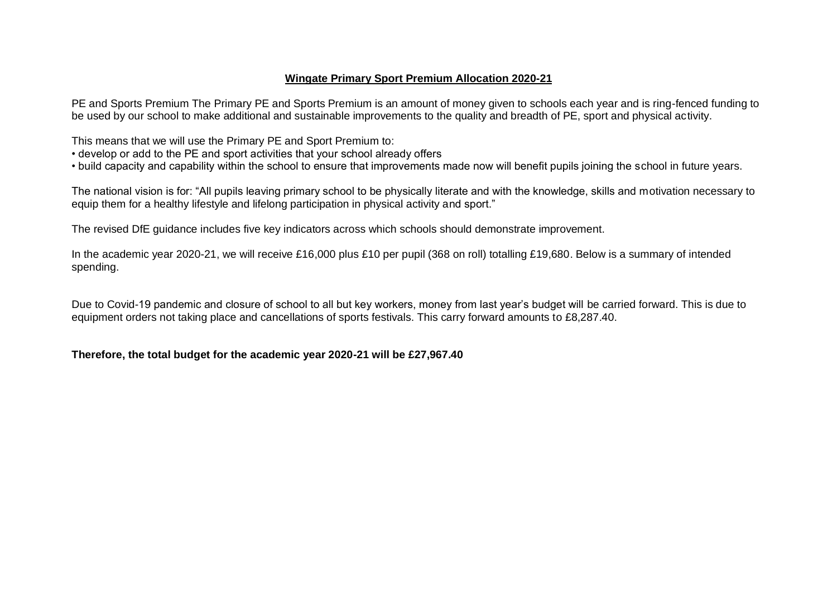### **Wingate Primary Sport Premium Allocation 2020-21**

PE and Sports Premium The Primary PE and Sports Premium is an amount of money given to schools each year and is ring-fenced funding to be used by our school to make additional and sustainable improvements to the quality and breadth of PE, sport and physical activity.

This means that we will use the Primary PE and Sport Premium to:

- develop or add to the PE and sport activities that your school already offers
- build capacity and capability within the school to ensure that improvements made now will benefit pupils joining the school in future years.

The national vision is for: "All pupils leaving primary school to be physically literate and with the knowledge, skills and motivation necessary to equip them for a healthy lifestyle and lifelong participation in physical activity and sport."

The revised DfE guidance includes five key indicators across which schools should demonstrate improvement.

In the academic year 2020-21, we will receive £16,000 plus £10 per pupil (368 on roll) totalling £19,680. Below is a summary of intended spending.

Due to Covid-19 pandemic and closure of school to all but key workers, money from last year's budget will be carried forward. This is due to equipment orders not taking place and cancellations of sports festivals. This carry forward amounts to £8,287.40.

### **Therefore, the total budget for the academic year 2020-21 will be £27,967.40**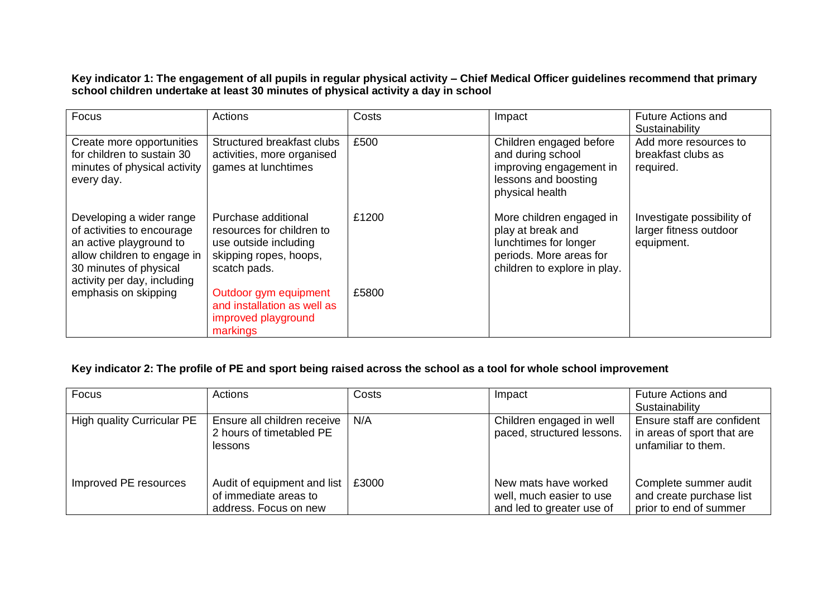**Key indicator 1: The engagement of all pupils in regular physical activity – Chief Medical Officer guidelines recommend that primary school children undertake at least 30 minutes of physical activity a day in school**

| Focus                                                                                                                                                                     | Actions                                                                                                             | Costs | Impact                                                                                                                            | <b>Future Actions and</b><br>Sustainability                        |
|---------------------------------------------------------------------------------------------------------------------------------------------------------------------------|---------------------------------------------------------------------------------------------------------------------|-------|-----------------------------------------------------------------------------------------------------------------------------------|--------------------------------------------------------------------|
| Create more opportunities<br>for children to sustain 30<br>minutes of physical activity<br>every day.                                                                     | Structured breakfast clubs<br>activities, more organised<br>games at lunchtimes                                     | £500  | Children engaged before<br>and during school<br>improving engagement in<br>lessons and boosting<br>physical health                | Add more resources to<br>breakfast clubs as<br>required.           |
| Developing a wider range<br>of activities to encourage<br>an active playground to<br>allow children to engage in<br>30 minutes of physical<br>activity per day, including | Purchase additional<br>resources for children to<br>use outside including<br>skipping ropes, hoops,<br>scatch pads. | £1200 | More children engaged in<br>play at break and<br>lunchtimes for longer<br>periods. More areas for<br>children to explore in play. | Investigate possibility of<br>larger fitness outdoor<br>equipment. |
| emphasis on skipping                                                                                                                                                      | Outdoor gym equipment<br>and installation as well as<br>improved playground<br>markings                             | £5800 |                                                                                                                                   |                                                                    |

### **Key indicator 2: The profile of PE and sport being raised across the school as a tool for whole school improvement**

| Focus                             | Actions                                                                       | Costs | Impact                                                                        | <b>Future Actions and</b><br>Sustainability                                     |
|-----------------------------------|-------------------------------------------------------------------------------|-------|-------------------------------------------------------------------------------|---------------------------------------------------------------------------------|
| <b>High quality Curricular PE</b> | Ensure all children receive<br>2 hours of timetabled PE<br>lessons            | N/A   | Children engaged in well<br>paced, structured lessons.                        | Ensure staff are confident<br>in areas of sport that are<br>unfamiliar to them. |
| Improved PE resources             | Audit of equipment and list<br>of immediate areas to<br>address. Focus on new | £3000 | New mats have worked<br>well, much easier to use<br>and led to greater use of | Complete summer audit<br>and create purchase list<br>prior to end of summer     |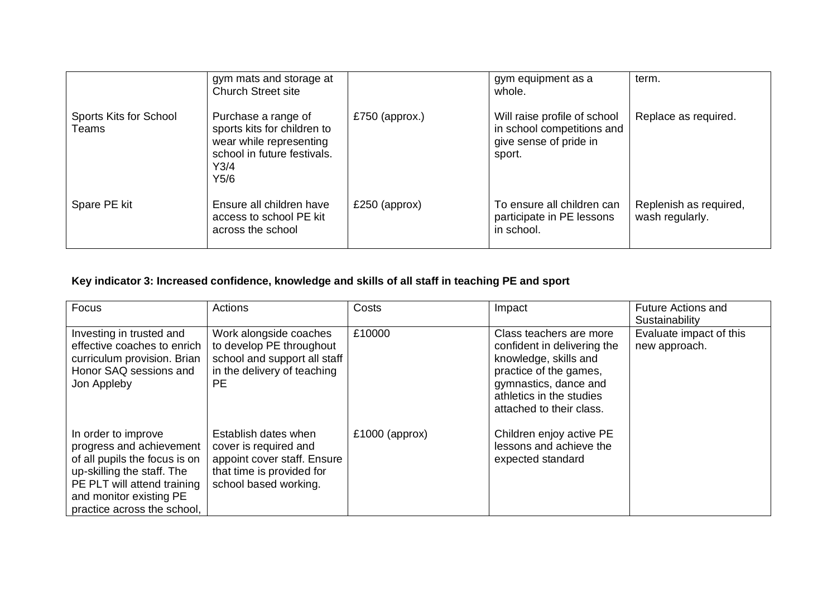|                                 | gym mats and storage at<br><b>Church Street site</b>                                                                         |                | gym equipment as a<br>whole.                                                                   | term.                                     |
|---------------------------------|------------------------------------------------------------------------------------------------------------------------------|----------------|------------------------------------------------------------------------------------------------|-------------------------------------------|
| Sports Kits for School<br>Teams | Purchase a range of<br>sports kits for children to<br>wear while representing<br>school in future festivals.<br>Y3/4<br>Y5/6 | £750 (approx.) | Will raise profile of school<br>in school competitions and<br>give sense of pride in<br>sport. | Replace as required.                      |
| Spare PE kit                    | Ensure all children have<br>access to school PE kit<br>across the school                                                     | £250 (approx)  | To ensure all children can<br>participate in PE lessons<br>in school.                          | Replenish as required,<br>wash regularly. |

## **Key indicator 3: Increased confidence, knowledge and skills of all staff in teaching PE and sport**

| Focus                                                                                                                                                                                                   | Actions                                                                                                                            | Costs            | Impact                                                                                                                                                                                     | <b>Future Actions and</b><br>Sustainability |
|---------------------------------------------------------------------------------------------------------------------------------------------------------------------------------------------------------|------------------------------------------------------------------------------------------------------------------------------------|------------------|--------------------------------------------------------------------------------------------------------------------------------------------------------------------------------------------|---------------------------------------------|
| Investing in trusted and<br>effective coaches to enrich<br>curriculum provision. Brian<br>Honor SAQ sessions and<br>Jon Appleby                                                                         | Work alongside coaches<br>to develop PE throughout<br>school and support all staff<br>in the delivery of teaching<br>PЕ            | £10000           | Class teachers are more<br>confident in delivering the<br>knowledge, skills and<br>practice of the games,<br>gymnastics, dance and<br>athletics in the studies<br>attached to their class. | Evaluate impact of this<br>new approach.    |
| In order to improve<br>progress and achievement<br>of all pupils the focus is on<br>up-skilling the staff. The<br>PE PLT will attend training<br>and monitor existing PE<br>practice across the school, | Establish dates when<br>cover is required and<br>appoint cover staff. Ensure<br>that time is provided for<br>school based working. | $£1000$ (approx) | Children enjoy active PE<br>lessons and achieve the<br>expected standard                                                                                                                   |                                             |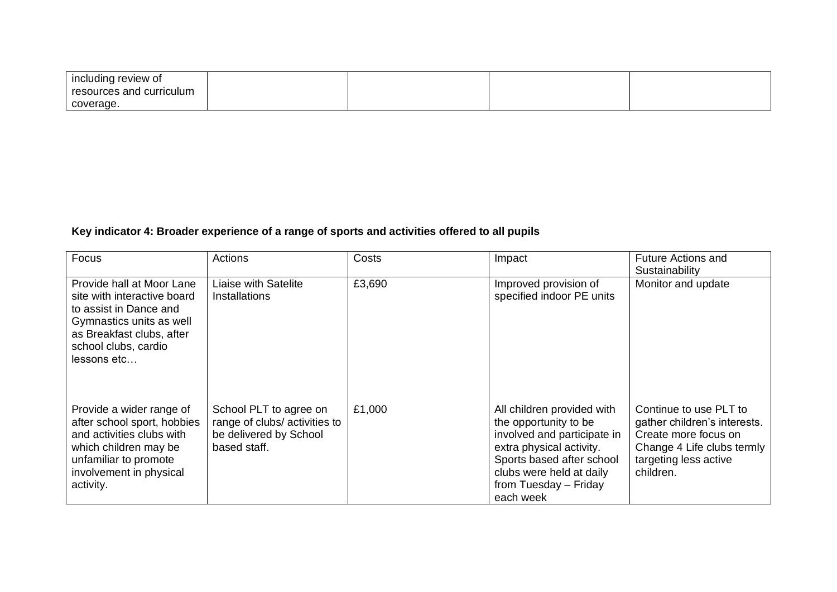| including review of      |  |  |
|--------------------------|--|--|
| resources and curriculum |  |  |
| coverage.                |  |  |

# **Key indicator 4: Broader experience of a range of sports and activities offered to all pupils**

| Focus                                                                                                                                                                              | Actions                                                                                           | Costs  | Impact                                                                                                                                                                                                        | <b>Future Actions and</b><br>Sustainability                                                                                                        |
|------------------------------------------------------------------------------------------------------------------------------------------------------------------------------------|---------------------------------------------------------------------------------------------------|--------|---------------------------------------------------------------------------------------------------------------------------------------------------------------------------------------------------------------|----------------------------------------------------------------------------------------------------------------------------------------------------|
| Provide hall at Moor Lane<br>site with interactive board<br>to assist in Dance and<br>Gymnastics units as well<br>as Breakfast clubs, after<br>school clubs, cardio<br>lessons etc | <b>Liaise with Satelite</b><br><b>Installations</b>                                               | £3,690 | Improved provision of<br>specified indoor PE units                                                                                                                                                            | Monitor and update                                                                                                                                 |
| Provide a wider range of<br>after school sport, hobbies<br>and activities clubs with<br>which children may be<br>unfamiliar to promote<br>involvement in physical<br>activity.     | School PLT to agree on<br>range of clubs/ activities to<br>be delivered by School<br>based staff. | £1,000 | All children provided with<br>the opportunity to be<br>involved and participate in<br>extra physical activity.<br>Sports based after school<br>clubs were held at daily<br>from Tuesday - Friday<br>each week | Continue to use PLT to<br>gather children's interests.<br>Create more focus on<br>Change 4 Life clubs termly<br>targeting less active<br>children. |